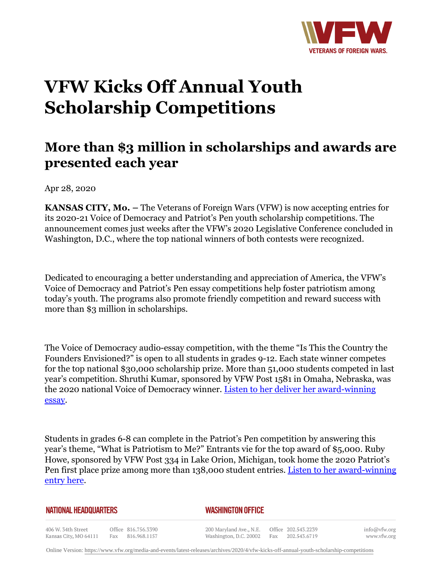

## **VFW Kicks Off Annual Youth Scholarship Competitions**

## **More than \$3 million in scholarships and awards are presented each year**

Apr 28, 2020

**KANSAS CITY, Mo. –** The Veterans of Foreign Wars (VFW) is now accepting entries for its 2020-21 Voice of Democracy and Patriot's Pen youth scholarship competitions. The announcement comes just weeks after the VFW's 2020 Legislative Conference concluded in Washington, D.C., where the top national winners of both contests were recognized.

Dedicated to encouraging a better understanding and appreciation of America, the VFW's Voice of Democracy and Patriot's Pen essay competitions help foster patriotism among today's youth. The programs also promote friendly competition and reward success with more than \$3 million in scholarships.

The Voice of Democracy audio-essay competition, with the theme "Is This the Country the Founders Envisioned?" is open to all students in grades 9-12. Each state winner competes for the top national \$30,000 scholarship prize. More than 51,000 students competed in last year's competition. Shruthi Kumar, sponsored by VFW Post 1581 in Omaha, Nebraska, was the 2020 national Voice of Democracy winner. [Listen to her deliver her award-winning](http://www.vfw.org/vfwdc2020) [essay](http://www.vfw.org/vfwdc2020).

Students in grades 6-8 can complete in the Patriot's Pen competition by answering this year's theme, "What is Patriotism to Me?" Entrants vie for the top award of \$5,000. Ruby Howe, sponsored by VFW Post 334 in Lake Orion, Michigan, took home the 2020 Patriot's Pen first place prize among more than 138,000 student entries. [Listen to her award-winning](http://www.vfw.org/vfwdc2020) [entry here](http://www.vfw.org/vfwdc2020).

| <b>NATIONAL HEADQUARTERS</b> |  |  |
|------------------------------|--|--|
|------------------------------|--|--|

## *WASHINGTON OFFICE*

406 W. 34th Street Office 816.756.3390 Fax 816.968.1157 Kansas City, MO 64111

200 Maryland Ave., N.E. Washington, D.C. 20002

Office 202.543.2239 Fax 202.543.6719 info@vfw.org www.vfw.org

Online Version:<https://www.vfw.org/media-and-events/latest-releases/archives/2020/4/vfw-kicks-off-annual-youth-scholarship-competitions>